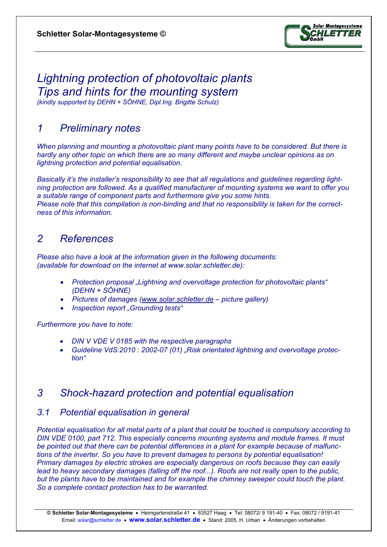

# *Lightning protection of photovoltaic plants Tips and hints for the mounting system*

*(kindly supported by DEHN + SÖHNE, Dipl.Ing. Brigitte Schulz)* 

## *1 Preliminary notes*

*When planning and mounting a photovoltaic plant many points have to be considered. But there is hardly any other topic on which there are so many different and maybe unclear opinions as on lightning protection and potential equalisation.* 

*Basically it's the installer's responsibility to see that all regulations and guidelines regarding lightning protection are followed. As a qualified manufacturer of mounting systems we want to offer you a suitable range of component parts and furthermore give you some hints. Please note that this compilation is non-binding and that no responsibility is taken for the correctness of this information.* 

### *2 References*

*Please also have a look at the information given in the following documents: (available for download on the internet at www.solar.schletter.de):* 

- *Protection proposal "Lightning and overvoltage protection for photovoltaic plants" (DEHN + SÖHNE)*
- *Pictures of damages (www.solar.schletter.de picture gallery)*
- *Inspection report "Grounding tests"*

*Furthermore you have to note:* 

- *DIN V VDE V 0185 with the respective paragraphs*
- *Guideline VdS:2010 : 2002-07 (01) "Risk orientated lightning and overvoltage protection"*

### *3 Shock-hazard protection and potential equalisation*

#### *3.1 Potential equalisation in general*

*Potential equalisation for all metal parts of a plant that could be touched is compulsory according to DIN VDE 0100, part 712. This especially concerns mounting systems and module frames. It must be pointed out that there can be potential differences in a plant for example because of malfunctions of the inverter. So you have to prevent damages to persons by potential equalisation! Primary damages by electric strokes are especially dangerous on roofs because they can easily lead to heavy secondary damages (falling off the roof...). Roofs are not really open to the public, but the plants have to be maintained and for example the chimney sweeper could touch the plant. So a complete contact protection has to be warranted.*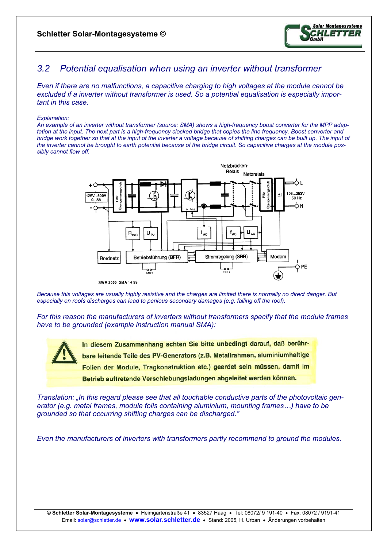

### *3.2 Potential equalisation when using an inverter without transformer*

*Even if there are no malfunctions, a capacitive charging to high voltages at the module cannot be excluded if a inverter without transformer is used. So a potential equalisation is especially important in this case.* 

#### *Explanation:*

*An example of an inverter without transformer (source: SMA) shows a high-frequency boost converter for the MPP adaptation at the input. The next part is a high-frequency clocked bridge that copies the line frequency. Boost converter and bridge work together so that at the input of the inverter a voltage because of shifting charges can be built up. The input of the inverter cannot be brought to earth potential because of the bridge circuit. So capacitive charges at the module possibly cannot flow off.* 





*Because this voltages are usually highly resistive and the charges are limited there is normally no direct danger. But especially on roofs discharges can lead to perilous secondary damages (e.g. falling off the roof).* 

*For this reason the manufacturers of inverters without transformers specify that the module frames have to be grounded (example instruction manual SMA):* 

> In diesem Zusammenhang achten Sie bitte unbedingt darauf, daß berührbare leitende Teile des PV-Generators (z.B. Metallrahmen, aluminiumhaltige Folien der Module, Tragkonstruktion etc.) geerdet sein müssen, damit im Betrieb auftretende Verschiebungsladungen abgeleitet werden können.

*Translation: "In this regard please see that all touchable conductive parts of the photovoltaic generator (e.g. metal frames, module foils containing aluminium, mounting frames…) have to be grounded so that occurring shifting charges can be discharged."* 

*Even the manufacturers of inverters with transformers partly recommend to ground the modules.*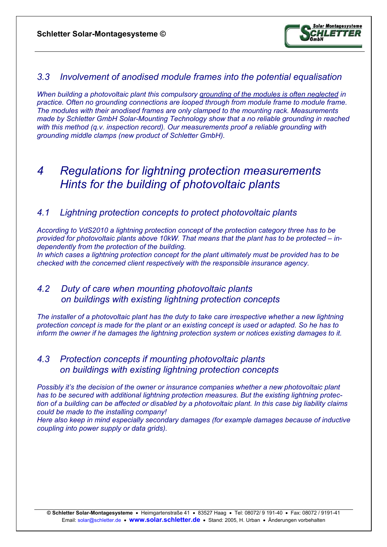

#### *3.3 Involvement of anodised module frames into the potential equalisation*

*When building a photovoltaic plant this compulsory grounding of the modules is often neglected in practice. Often no grounding connections are looped through from module frame to module frame. The modules with their anodised frames are only clamped to the mounting rack. Measurements made by Schletter GmbH Solar-Mounting Technology show that a no reliable grounding in reached with this method (q.v. inspection record). Our measurements proof a reliable grounding with grounding middle clamps (new product of Schletter GmbH).* 

# *4 Regulations for lightning protection measurements Hints for the building of photovoltaic plants*

#### *4.1 Lightning protection concepts to protect photovoltaic plants*

*According to VdS2010 a lightning protection concept of the protection category three has to be provided for photovoltaic plants above 10kW. That means that the plant has to be protected – independently from the protection of the building. In which cases a lightning protection concept for the plant ultimately must be provided has to be* 

*checked with the concerned client respectively with the responsible insurance agency.* 

#### *4.2 Duty of care when mounting photovoltaic plants on buildings with existing lightning protection concepts*

*The installer of a photovoltaic plant has the duty to take care irrespective whether a new lightning protection concept is made for the plant or an existing concept is used or adapted. So he has to inform the owner if he damages the lightning protection system or notices existing damages to it.* 

### *4.3 Protection concepts if mounting photovoltaic plants on buildings with existing lightning protection concepts*

*Possibly it's the decision of the owner or insurance companies whether a new photovoltaic plant has to be secured with additional lightning protection measures. But the existing lightning protection of a building can be affected or disabled by a photovoltaic plant. In this case big liability claims could be made to the installing company!* 

*Here also keep in mind especially secondary damages (for example damages because of inductive coupling into power supply or data grids).*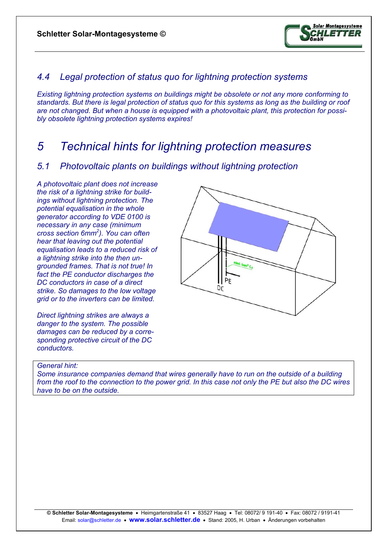

### *4.4 Legal protection of status quo for lightning protection systems*

*Existing lightning protection systems on buildings might be obsolete or not any more conforming to standards. But there is legal protection of status quo for this systems as long as the building or roof are not changed. But when a house is equipped with a photovoltaic plant, this protection for possibly obsolete lightning protection systems expires!* 

## *5 Technical hints for lightning protection measures*

#### *5.1 Photovoltaic plants on buildings without lightning protection*

*A photovoltaic plant does not increase the risk of a lightning strike for buildings without lightning protection. The potential equalisation in the whole generator according to VDE 0100 is necessary in any case (minimum cross section 6mm2 ). You can often hear that leaving out the potential equalisation leads to a reduced risk of a lightning strike into the then ungrounded frames. That is not true! In fact the PE conductor discharges the DC conductors in case of a direct strike. So damages to the low voltage grid or to the inverters can be limited.* 

*Direct lightning strikes are always a danger to the system. The possible damages can be reduced by a corresponding protective circuit of the DC conductors.* 



#### *General hint:*

*Some insurance companies demand that wires generally have to run on the outside of a building from the roof to the connection to the power grid. In this case not only the PE but also the DC wires have to be on the outside.*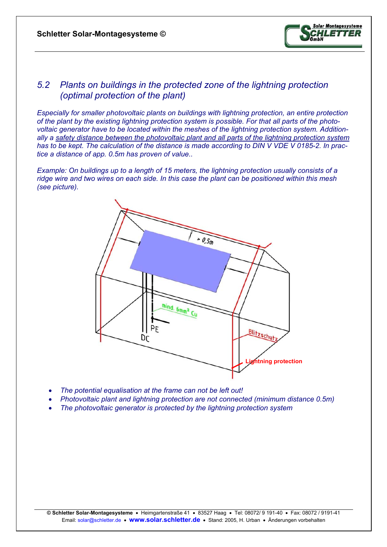

#### *5.2 Plants on buildings in the protected zone of the lightning protection (optimal protection of the plant)*

*Especially for smaller photovoltaic plants on buildings with lightning protection, an entire protection of the plant by the existing lightning protection system is possible. For that all parts of the photovoltaic generator have to be located within the meshes of the lightning protection system. Additionally a safety distance between the photovoltaic plant and all parts of the lightning protection system has to be kept. The calculation of the distance is made according to DIN V VDE V 0185-2. In practice a distance of app. 0.5m has proven of value..* 

*Example: On buildings up to a length of 15 meters, the lightning protection usually consists of a ridge wire and two wires on each side. In this case the plant can be positioned within this mesh (see picture).* 



- *The potential equalisation at the frame can not be left out!*
- *Photovoltaic plant and lightning protection are not connected (minimum distance 0.5m)*
- *The photovoltaic generator is protected by the lightning protection system*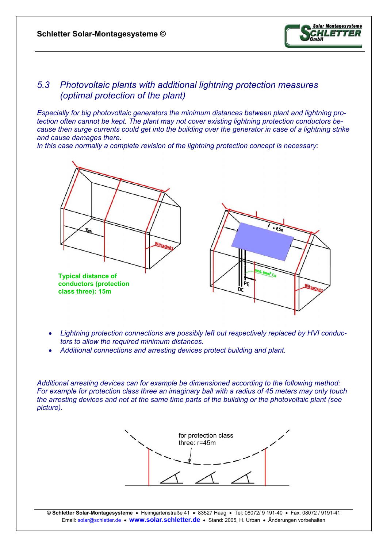

#### *5.3 Photovoltaic plants with additional lightning protection measures (optimal protection of the plant)*

*Especially for big photovoltaic generators the minimum distances between plant and lightning protection often cannot be kept. The plant may not cover existing lightning protection conductors because then surge currents could get into the building over the generator in case of a lightning strike and cause damages there.* 

*In this case normally a complete revision of the lightning protection concept is necessary:* 



- *Lightning protection connections are possibly left out respectively replaced by HVI conductors to allow the required minimum distances.*
- *Additional connections and arresting devices protect building and plant.*

*Additional arresting devices can for example be dimensioned according to the following method: For example for protection class three an imaginary ball with a radius of 45 meters may only touch the arresting devices and not at the same time parts of the building or the photovoltaic plant (see picture).* 



**© Schletter Solar-Montagesysteme** • Heimgartenstraße 41 • 83527 Haag • Tel: 08072/ 9 191-40 • Fax: 08072 / 9191-41 Email: solar@schletter.de • **www.solar.schletter.de** • Stand: 2005, H. Urban • Änderungen vorbehalten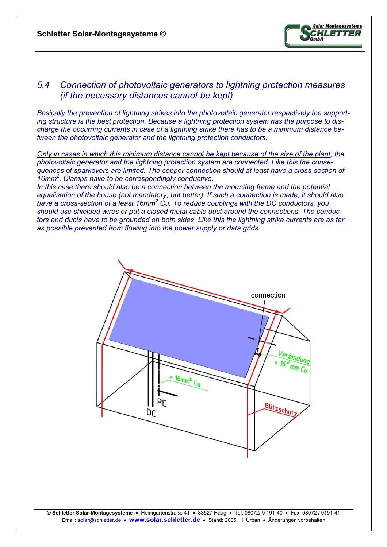

#### *5.4 Connection of photovoltaic generators to lightning protection measures (if the necessary distances cannot be kept)*

*Basically the prevention of lightning strikes into the photovoltaic generator respectively the supporting structure is the best protection. Because a lightning protection system has the purpose to discharge the occurring currents in case of a lightning strike there has to be a minimum distance between the photovoltaic generator and the lightning protection conductors.* 

*Only in cases in which this minimum distance cannot be kept because of the size of the plant, the photovoltaic generator and the lightning protection system are connected. Like this the consequences of sparkovers are limited. The copper connection should at least have a cross-section of 16mm2 . Clamps have to be correspondingly conductive.* 

In this case there should also be a connection between the mounting frame and the potential *equalisation of the house (not mandatory, but better). If such a connection is made, it should also*  have a cross-section of a least 16mm<sup>2</sup> Cu. To reduce couplings with the DC conductors, you *should use shielded wires or put a closed metal cable duct around the connections. The conductors and ducts have to be grounded on both sides. Like this the lightning strike currents are as far as possible prevented from flowing into the power supply or data grids.*